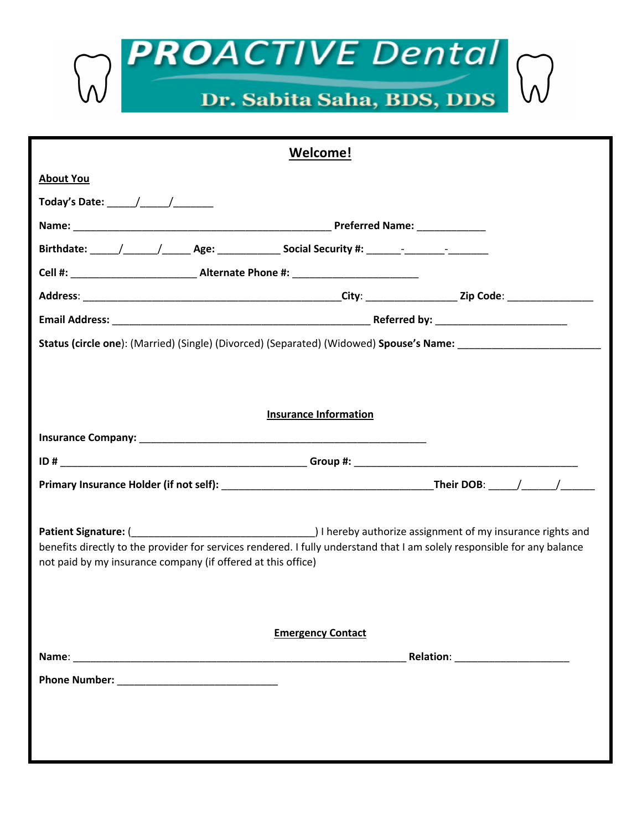

|                                                                                                                                                                                                                                                                                                                                                                                                                    | <b>Welcome!</b>              |  |
|--------------------------------------------------------------------------------------------------------------------------------------------------------------------------------------------------------------------------------------------------------------------------------------------------------------------------------------------------------------------------------------------------------------------|------------------------------|--|
| <b>About You</b>                                                                                                                                                                                                                                                                                                                                                                                                   |                              |  |
| Today's Date: $\frac{1}{\sqrt{1-\frac{1}{2}}}\frac{1}{\sqrt{1-\frac{1}{2}}}\frac{1}{\sqrt{1-\frac{1}{2}}}\frac{1}{\sqrt{1-\frac{1}{2}}}\frac{1}{\sqrt{1-\frac{1}{2}}}\frac{1}{\sqrt{1-\frac{1}{2}}}\frac{1}{\sqrt{1-\frac{1}{2}}}\frac{1}{\sqrt{1-\frac{1}{2}}}\frac{1}{\sqrt{1-\frac{1}{2}}}\frac{1}{\sqrt{1-\frac{1}{2}}}\frac{1}{\sqrt{1-\frac{1}{2}}}\frac{1}{\sqrt{1-\frac{1}{2}}}\frac{1}{\sqrt{1-\frac{1}{$ |                              |  |
|                                                                                                                                                                                                                                                                                                                                                                                                                    |                              |  |
| Birthdate: _____/_______/______Age: _______________Social Security #: _______-________-_____________                                                                                                                                                                                                                                                                                                               |                              |  |
|                                                                                                                                                                                                                                                                                                                                                                                                                    |                              |  |
|                                                                                                                                                                                                                                                                                                                                                                                                                    |                              |  |
|                                                                                                                                                                                                                                                                                                                                                                                                                    |                              |  |
| Status (circle one): (Married) (Single) (Divorced) (Separated) (Widowed) Spouse's Name: ______________________                                                                                                                                                                                                                                                                                                     |                              |  |
|                                                                                                                                                                                                                                                                                                                                                                                                                    |                              |  |
|                                                                                                                                                                                                                                                                                                                                                                                                                    |                              |  |
|                                                                                                                                                                                                                                                                                                                                                                                                                    | <b>Insurance Information</b> |  |
|                                                                                                                                                                                                                                                                                                                                                                                                                    |                              |  |
|                                                                                                                                                                                                                                                                                                                                                                                                                    |                              |  |
|                                                                                                                                                                                                                                                                                                                                                                                                                    |                              |  |
|                                                                                                                                                                                                                                                                                                                                                                                                                    |                              |  |
| Patient Signature: ( <b>Matient Signature:</b> ( <b>Matient Signature:</b> ( <b>Matient Signature:</b> ( <b>Matient Signature:</b> ( <b>Matient Signature:</b> ( <b>Matient Signature:</b> ( <b>Matient Signature:</b> ( <b>Matient Signature:</b> ( <b>Matient Signatur</b>                                                                                                                                       |                              |  |
| benefits directly to the provider for services rendered. I fully understand that I am solely responsible for any balance<br>not paid by my insurance company (if offered at this office)                                                                                                                                                                                                                           |                              |  |
|                                                                                                                                                                                                                                                                                                                                                                                                                    |                              |  |
|                                                                                                                                                                                                                                                                                                                                                                                                                    |                              |  |
|                                                                                                                                                                                                                                                                                                                                                                                                                    | <b>Emergency Contact</b>     |  |
|                                                                                                                                                                                                                                                                                                                                                                                                                    |                              |  |
|                                                                                                                                                                                                                                                                                                                                                                                                                    |                              |  |
|                                                                                                                                                                                                                                                                                                                                                                                                                    |                              |  |
|                                                                                                                                                                                                                                                                                                                                                                                                                    |                              |  |
|                                                                                                                                                                                                                                                                                                                                                                                                                    |                              |  |
|                                                                                                                                                                                                                                                                                                                                                                                                                    |                              |  |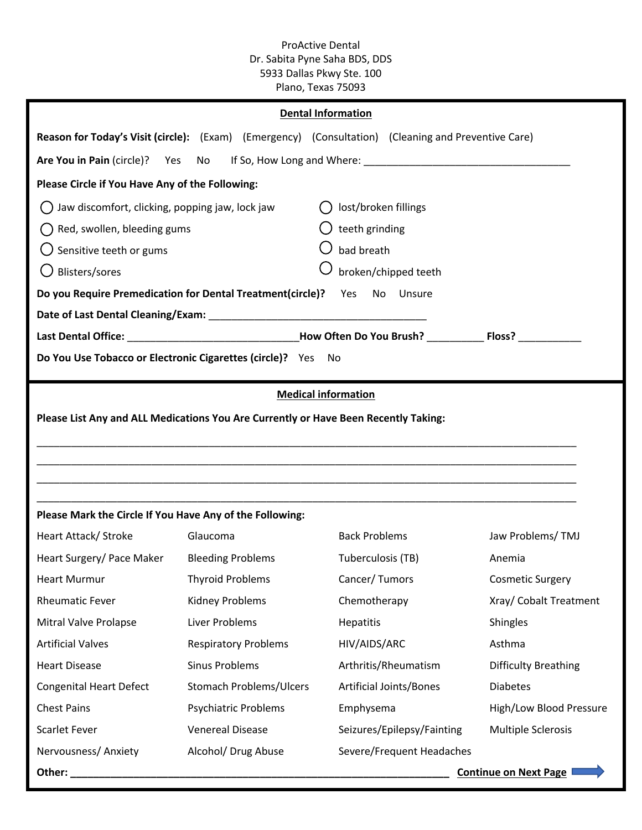# ProActive Dental Dr. Sabita Pyne Saha BDS, DDS 5933 Dallas Pkwy Ste. 100 Plano, Texas 75093

|                                                           |                                                            | <b>Dental Information</b>                                                                           |                              |
|-----------------------------------------------------------|------------------------------------------------------------|-----------------------------------------------------------------------------------------------------|------------------------------|
|                                                           |                                                            | Reason for Today's Visit (circle): (Exam) (Emergency) (Consultation) (Cleaning and Preventive Care) |                              |
| Are You in Pain (circle)? Yes No                          |                                                            |                                                                                                     |                              |
| Please Circle if You Have Any of the Following:           |                                                            |                                                                                                     |                              |
| Jaw discomfort, clicking, popping jaw, lock jaw           |                                                            | lost/broken fillings                                                                                |                              |
| Red, swollen, bleeding gums                               |                                                            | teeth grinding                                                                                      |                              |
| Sensitive teeth or gums                                   |                                                            | bad breath                                                                                          |                              |
| Blisters/sores                                            |                                                            | broken/chipped teeth                                                                                |                              |
|                                                           | Do you Require Premedication for Dental Treatment(circle)? | Yes<br>No Unsure                                                                                    |                              |
|                                                           |                                                            |                                                                                                     |                              |
|                                                           |                                                            |                                                                                                     |                              |
| Do You Use Tobacco or Electronic Cigarettes (circle)? Yes |                                                            | No                                                                                                  |                              |
|                                                           |                                                            |                                                                                                     |                              |
| Please Mark the Circle If You Have Any of the Following:  |                                                            |                                                                                                     |                              |
| Heart Attack/ Stroke                                      | Glaucoma                                                   | <b>Back Problems</b>                                                                                | Jaw Problems/TMJ             |
| Heart Surgery/ Pace Maker                                 | <b>Bleeding Problems</b>                                   | Tuberculosis (TB)                                                                                   | Anemia                       |
| <b>Heart Murmur</b>                                       | <b>Thyroid Problems</b>                                    | Cancer/Tumors                                                                                       | <b>Cosmetic Surgery</b>      |
| <b>Rheumatic Fever</b>                                    | <b>Kidney Problems</b>                                     | Chemotherapy                                                                                        | Xray/ Cobalt Treatment       |
| Mitral Valve Prolapse                                     | Liver Problems                                             | Hepatitis                                                                                           | Shingles                     |
| <b>Artificial Valves</b>                                  | <b>Respiratory Problems</b>                                | HIV/AIDS/ARC                                                                                        | Asthma                       |
| <b>Heart Disease</b>                                      | <b>Sinus Problems</b>                                      | Arthritis/Rheumatism                                                                                | <b>Difficulty Breathing</b>  |
| <b>Congenital Heart Defect</b>                            | <b>Stomach Problems/Ulcers</b>                             | Artificial Joints/Bones                                                                             | <b>Diabetes</b>              |
| <b>Chest Pains</b>                                        | <b>Psychiatric Problems</b>                                | Emphysema                                                                                           | High/Low Blood Pressure      |
| <b>Scarlet Fever</b>                                      | <b>Venereal Disease</b>                                    | Seizures/Epilepsy/Fainting                                                                          | <b>Multiple Sclerosis</b>    |
| Nervousness/Anxiety                                       | Alcohol/ Drug Abuse                                        | Severe/Frequent Headaches                                                                           |                              |
| Other: _                                                  |                                                            |                                                                                                     | <b>Continue on Next Page</b> |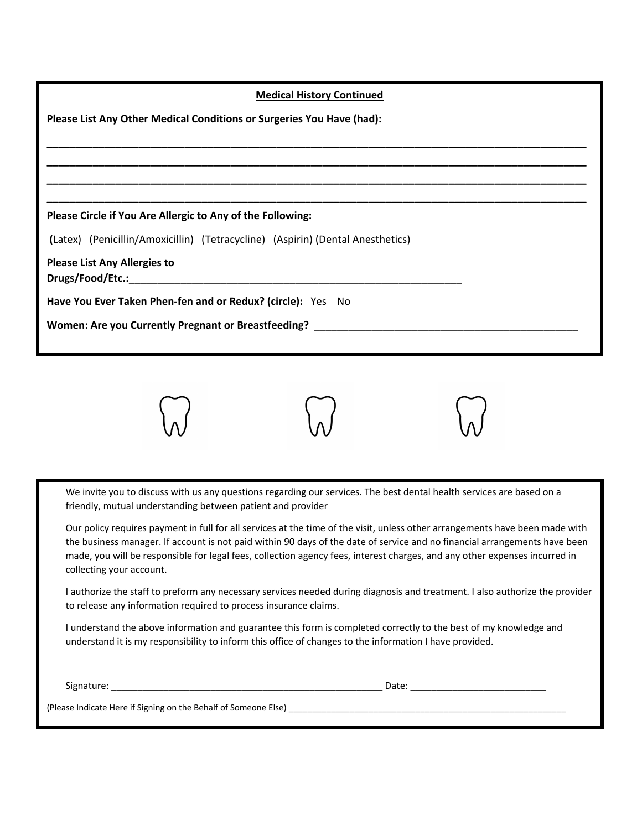| <b>Medical History Continued</b>                                               |
|--------------------------------------------------------------------------------|
| Please List Any Other Medical Conditions or Surgeries You Have (had):          |
|                                                                                |
|                                                                                |
|                                                                                |
| Please Circle if You Are Allergic to Any of the Following:                     |
| (Latex) (Penicillin/Amoxicillin) (Tetracycline) (Aspirin) (Dental Anesthetics) |
| <b>Please List Any Allergies to</b>                                            |
| Have You Ever Taken Phen-fen and or Redux? (circle): Yes No                    |
| Women: Are you Currently Pregnant or Breastfeeding?                            |
|                                                                                |



We invite you to discuss with us any questions regarding our services. The best dental health services are based on a friendly, mutual understanding between patient and provider

Our policy requires payment in full for all services at the time of the visit, unless other arrangements have been made with the business manager. If account is not paid within 90 days of the date of service and no financial arrangements have been made, you will be responsible for legal fees, collection agency fees, interest charges, and any other expenses incurred in collecting your account.

I authorize the staff to preform any necessary services needed during diagnosis and treatment. I also authorize the provider to release any information required to process insurance claims.

I understand the above information and guarantee this form is completed correctly to the best of my knowledge and understand it is my responsibility to inform this office of changes to the information I have provided.

Signature: \_\_\_\_\_\_\_\_\_\_\_\_\_\_\_\_\_\_\_\_\_\_\_\_\_\_\_\_\_\_\_\_\_\_\_\_\_\_\_\_\_\_\_\_\_\_\_\_\_\_\_\_ Date: \_\_\_\_\_\_\_\_\_\_\_\_\_\_\_\_\_\_\_\_\_\_\_\_\_\_

(Please Indicate Here if Signing on the Behalf of Someone Else) \_\_\_\_\_\_\_\_\_\_\_\_\_\_\_\_\_\_\_\_\_\_\_\_\_\_\_\_\_\_\_\_\_\_\_\_\_\_\_\_\_\_\_\_\_\_\_\_\_\_\_\_\_\_\_\_\_\_\_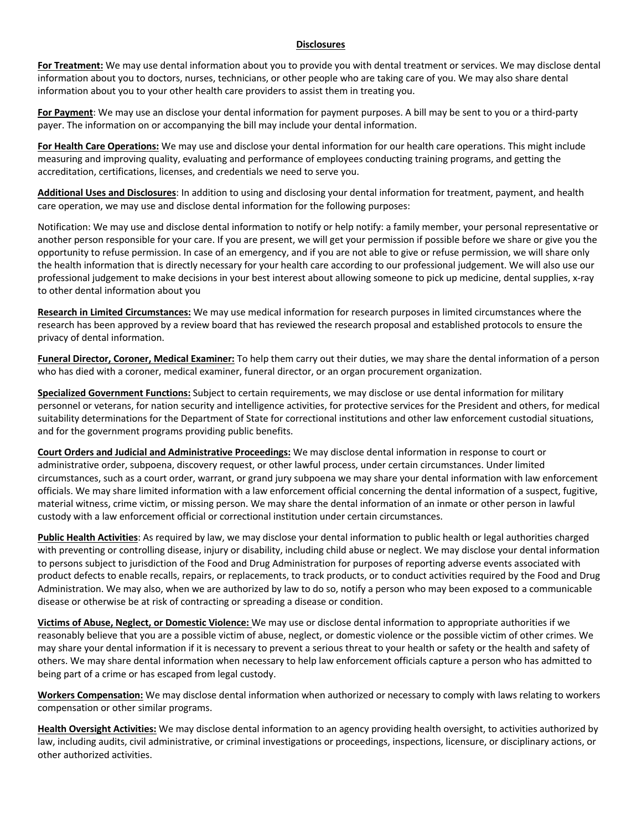#### **Disclosures**

**For Treatment:** We may use dental information about you to provide you with dental treatment or services. We may disclose dental information about you to doctors, nurses, technicians, or other people who are taking care of you. We may also share dental information about you to your other health care providers to assist them in treating you.

**For Payment**: We may use an disclose your dental information for payment purposes. A bill may be sent to you or a third-party payer. The information on or accompanying the bill may include your dental information.

**For Health Care Operations:** We may use and disclose your dental information for our health care operations. This might include measuring and improving quality, evaluating and performance of employees conducting training programs, and getting the accreditation, certifications, licenses, and credentials we need to serve you.

**Additional Uses and Disclosures**: In addition to using and disclosing your dental information for treatment, payment, and health care operation, we may use and disclose dental information for the following purposes:

Notification: We may use and disclose dental information to notify or help notify: a family member, your personal representative or another person responsible for your care. If you are present, we will get your permission if possible before we share or give you the opportunity to refuse permission. In case of an emergency, and if you are not able to give or refuse permission, we will share only the health information that is directly necessary for your health care according to our professional judgement. We will also use our professional judgement to make decisions in your best interest about allowing someone to pick up medicine, dental supplies, x-ray to other dental information about you

**Research in Limited Circumstances:** We may use medical information for research purposes in limited circumstances where the research has been approved by a review board that has reviewed the research proposal and established protocols to ensure the privacy of dental information.

**Funeral Director, Coroner, Medical Examiner:** To help them carry out their duties, we may share the dental information of a person who has died with a coroner, medical examiner, funeral director, or an organ procurement organization.

**Specialized Government Functions:** Subject to certain requirements, we may disclose or use dental information for military personnel or veterans, for nation security and intelligence activities, for protective services for the President and others, for medical suitability determinations for the Department of State for correctional institutions and other law enforcement custodial situations, and for the government programs providing public benefits.

**Court Orders and Judicial and Administrative Proceedings:** We may disclose dental information in response to court or administrative order, subpoena, discovery request, or other lawful process, under certain circumstances. Under limited circumstances, such as a court order, warrant, or grand jury subpoena we may share your dental information with law enforcement officials. We may share limited information with a law enforcement official concerning the dental information of a suspect, fugitive, material witness, crime victim, or missing person. We may share the dental information of an inmate or other person in lawful custody with a law enforcement official or correctional institution under certain circumstances.

**Public Health Activities**: As required by law, we may disclose your dental information to public health or legal authorities charged with preventing or controlling disease, injury or disability, including child abuse or neglect. We may disclose your dental information to persons subject to jurisdiction of the Food and Drug Administration for purposes of reporting adverse events associated with product defects to enable recalls, repairs, or replacements, to track products, or to conduct activities required by the Food and Drug Administration. We may also, when we are authorized by law to do so, notify a person who may been exposed to a communicable disease or otherwise be at risk of contracting or spreading a disease or condition.

**Victims of Abuse, Neglect, or Domestic Violence:** We may use or disclose dental information to appropriate authorities if we reasonably believe that you are a possible victim of abuse, neglect, or domestic violence or the possible victim of other crimes. We may share your dental information if it is necessary to prevent a serious threat to your health or safety or the health and safety of others. We may share dental information when necessary to help law enforcement officials capture a person who has admitted to being part of a crime or has escaped from legal custody.

**Workers Compensation:** We may disclose dental information when authorized or necessary to comply with laws relating to workers compensation or other similar programs.

**Health Oversight Activities:** We may disclose dental information to an agency providing health oversight, to activities authorized by law, including audits, civil administrative, or criminal investigations or proceedings, inspections, licensure, or disciplinary actions, or other authorized activities.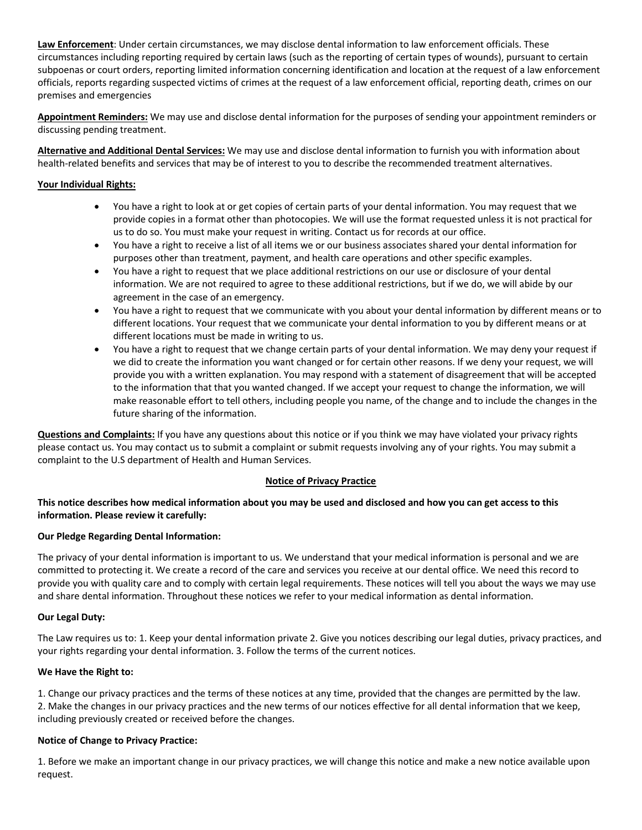**Law Enforcement**: Under certain circumstances, we may disclose dental information to law enforcement officials. These circumstances including reporting required by certain laws (such as the reporting of certain types of wounds), pursuant to certain subpoenas or court orders, reporting limited information concerning identification and location at the request of a law enforcement officials, reports regarding suspected victims of crimes at the request of a law enforcement official, reporting death, crimes on our premises and emergencies

**Appointment Reminders:** We may use and disclose dental information for the purposes of sending your appointment reminders or discussing pending treatment.

**Alternative and Additional Dental Services:** We may use and disclose dental information to furnish you with information about health-related benefits and services that may be of interest to you to describe the recommended treatment alternatives.

## **Your Individual Rights:**

- You have a right to look at or get copies of certain parts of your dental information. You may request that we provide copies in a format other than photocopies. We will use the format requested unless it is not practical for us to do so. You must make your request in writing. Contact us for records at our office.
- You have a right to receive a list of all items we or our business associates shared your dental information for purposes other than treatment, payment, and health care operations and other specific examples.
- You have a right to request that we place additional restrictions on our use or disclosure of your dental information. We are not required to agree to these additional restrictions, but if we do, we will abide by our agreement in the case of an emergency.
- You have a right to request that we communicate with you about your dental information by different means or to different locations. Your request that we communicate your dental information to you by different means or at different locations must be made in writing to us.
- You have a right to request that we change certain parts of your dental information. We may deny your request if we did to create the information you want changed or for certain other reasons. If we deny your request, we will provide you with a written explanation. You may respond with a statement of disagreement that will be accepted to the information that that you wanted changed. If we accept your request to change the information, we will make reasonable effort to tell others, including people you name, of the change and to include the changes in the future sharing of the information.

**Questions and Complaints:** If you have any questions about this notice or if you think we may have violated your privacy rights please contact us. You may contact us to submit a complaint or submit requests involving any of your rights. You may submit a complaint to the U.S department of Health and Human Services.

## **Notice of Privacy Practice**

## **This notice describes how medical information about you may be used and disclosed and how you can get access to this information. Please review it carefully:**

## **Our Pledge Regarding Dental Information:**

The privacy of your dental information is important to us. We understand that your medical information is personal and we are committed to protecting it. We create a record of the care and services you receive at our dental office. We need this record to provide you with quality care and to comply with certain legal requirements. These notices will tell you about the ways we may use and share dental information. Throughout these notices we refer to your medical information as dental information.

## **Our Legal Duty:**

The Law requires us to: 1. Keep your dental information private 2. Give you notices describing our legal duties, privacy practices, and your rights regarding your dental information. 3. Follow the terms of the current notices.

## **We Have the Right to:**

1. Change our privacy practices and the terms of these notices at any time, provided that the changes are permitted by the law. 2. Make the changes in our privacy practices and the new terms of our notices effective for all dental information that we keep, including previously created or received before the changes.

## **Notice of Change to Privacy Practice:**

1. Before we make an important change in our privacy practices, we will change this notice and make a new notice available upon request.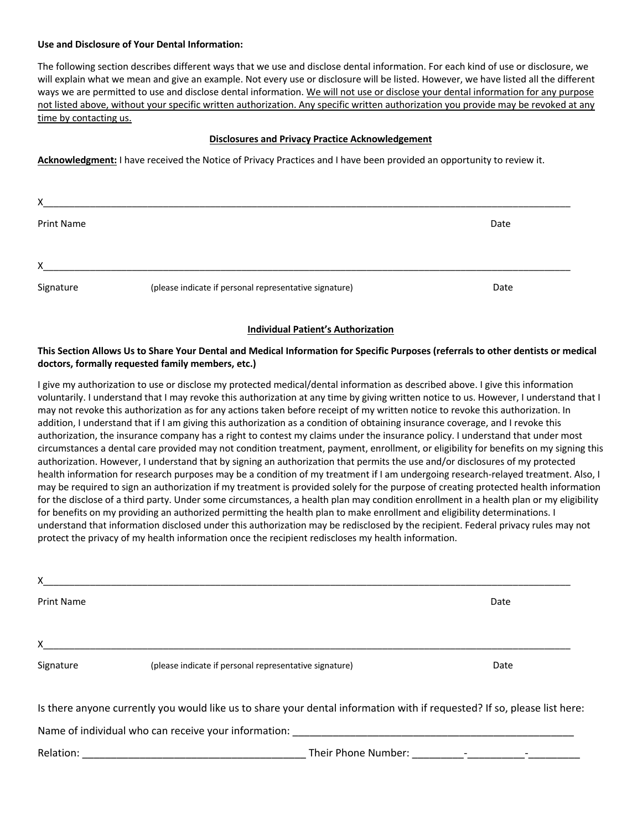#### **Use and Disclosure of Your Dental Information:**

The following section describes different ways that we use and disclose dental information. For each kind of use or disclosure, we will explain what we mean and give an example. Not every use or disclosure will be listed. However, we have listed all the different ways we are permitted to use and disclose dental information. We will not use or disclose your dental information for any purpose not listed above, without your specific written authorization. Any specific written authorization you provide may be revoked at any time by contacting us.

#### **Disclosures and Privacy Practice Acknowledgement**

**Acknowledgment:** I have received the Notice of Privacy Practices and I have been provided an opportunity to review it.

| X                 |                                                        |      |
|-------------------|--------------------------------------------------------|------|
| <b>Print Name</b> |                                                        | Date |
|                   |                                                        |      |
| Χ                 |                                                        |      |
| Signature         | (please indicate if personal representative signature) | Date |
|                   |                                                        |      |

#### **Individual Patient's Authorization**

## **This Section Allows Us to Share Your Dental and Medical Information for Specific Purposes (referrals to other dentists or medical doctors, formally requested family members, etc.)**

I give my authorization to use or disclose my protected medical/dental information as described above. I give this information voluntarily. I understand that I may revoke this authorization at any time by giving written notice to us. However, I understand that I may not revoke this authorization as for any actions taken before receipt of my written notice to revoke this authorization. In addition, I understand that if I am giving this authorization as a condition of obtaining insurance coverage, and I revoke this authorization, the insurance company has a right to contest my claims under the insurance policy. I understand that under most circumstances a dental care provided may not condition treatment, payment, enrollment, or eligibility for benefits on my signing this authorization. However, I understand that by signing an authorization that permits the use and/or disclosures of my protected health information for research purposes may be a condition of my treatment if I am undergoing research-relayed treatment. Also, I may be required to sign an authorization if my treatment is provided solely for the purpose of creating protected health information for the disclose of a third party. Under some circumstances, a health plan may condition enrollment in a health plan or my eligibility for benefits on my providing an authorized permitting the health plan to make enrollment and eligibility determinations. I understand that information disclosed under this authorization may be redisclosed by the recipient. Federal privacy rules may not protect the privacy of my health information once the recipient rediscloses my health information.

| X                 |                                                                                                                          |                     |      |
|-------------------|--------------------------------------------------------------------------------------------------------------------------|---------------------|------|
| <b>Print Name</b> |                                                                                                                          |                     | Date |
| X                 |                                                                                                                          |                     |      |
| Signature         | (please indicate if personal representative signature)                                                                   |                     | Date |
|                   | Is there anyone currently you would like us to share your dental information with if requested? If so, please list here: |                     |      |
|                   | Name of individual who can receive your information:                                                                     |                     |      |
| Relation:         |                                                                                                                          | Their Phone Number: |      |